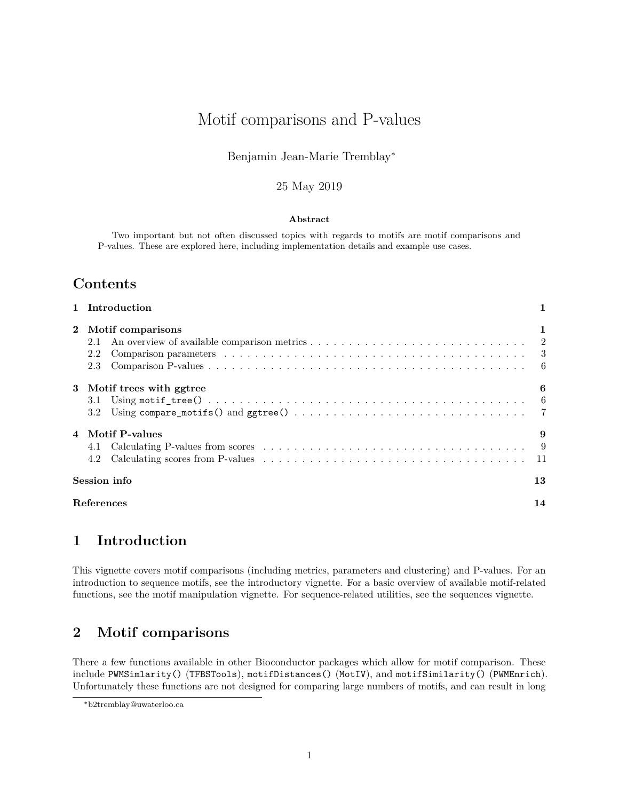# Motif comparisons and P-values

#### Benjamin Jean-Marie Tremblay<sup>∗</sup>

#### 25 May 2019

#### **Abstract**

Two important but not often discussed topics with regards to motifs are motif comparisons and P-values. These are explored here, including implementation details and example use cases.

### **Contents**

|              | 1 Introduction                                                                                                                                                          |    |  |  |  |  |  |
|--------------|-------------------------------------------------------------------------------------------------------------------------------------------------------------------------|----|--|--|--|--|--|
| $\mathbf{2}$ | Motif comparisons<br>2.1<br>Comparison parameters $\dots \dots \dots \dots \dots \dots \dots \dots \dots \dots \dots \dots \dots \dots \dots \dots \dots$<br>2.2<br>2.3 | 1  |  |  |  |  |  |
|              | 3 Motif trees with ggtree<br>3.1<br>3.2                                                                                                                                 | 6  |  |  |  |  |  |
|              | 4 Motif P-values<br>Calculating P-values from scores $\dots \dots \dots \dots \dots \dots \dots \dots \dots \dots \dots \dots \dots \dots$<br>4.1<br>4.2                | 9  |  |  |  |  |  |
|              | Session info                                                                                                                                                            | 13 |  |  |  |  |  |
|              | References<br>14                                                                                                                                                        |    |  |  |  |  |  |

# <span id="page-0-0"></span>**1 Introduction**

This vignette covers motif comparisons (including metrics, parameters and clustering) and P-values. For an introduction to sequence motifs, see the introductory vignette. For a basic overview of available motif-related functions, see the motif manipulation vignette. For sequence-related utilities, see the sequences vignette.

# <span id="page-0-1"></span>**2 Motif comparisons**

There a few functions available in other Bioconductor packages which allow for motif comparison. These include PWMSimlarity() (TFBSTools), motifDistances() (MotIV), and motifSimilarity() (PWMEnrich). Unfortunately these functions are not designed for comparing large numbers of motifs, and can result in long

<sup>∗</sup>[b2tremblay@uwaterloo.ca](mailto:b2tremblay@uwaterloo.ca)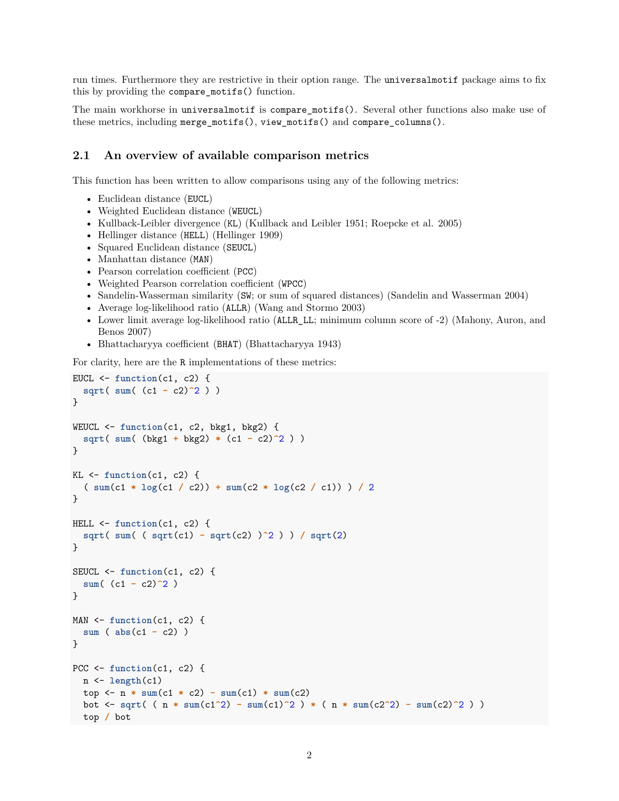run times. Furthermore they are restrictive in their option range. The universalmotif package aims to fix this by providing the compare\_motifs() function.

The main workhorse in universalmotif is compare\_motifs(). Several other functions also make use of these metrics, including merge\_motifs(), view\_motifs() and compare\_columns().

#### <span id="page-1-0"></span>**2.1 An overview of available comparison metrics**

This function has been written to allow comparisons using any of the following metrics:

- Euclidean distance (EUCL)
- Weighted Euclidean distance (WEUCL)
- Kullback-Leibler divergence (KL) (Kullback and Leibler 1951; Roepcke et al. 2005)
- Hellinger distance (HELL) (Hellinger 1909)
- Squared Euclidean distance (SEUCL)
- Manhattan distance (MAN)
- Pearson correlation coefficient (PCC)
- Weighted Pearson correlation coefficient (WPCC)
- Sandelin-Wasserman similarity (SW; or sum of squared distances) (Sandelin and Wasserman 2004)
- Average log-likelihood ratio (ALLR) (Wang and Stormo 2003)
- Lower limit average log-likelihood ratio (ALLR\_LL; minimum column score of -2) (Mahony, Auron, and Benos 2007)
- Bhattacharyya coefficient (BHAT) (Bhattacharyya 1943)

For clarity, here are the R implementations of these metrics:

```
EUCL <- function(c1, c2) {
  sqrt( sum( (c1 - c2)^2 ) )
}
WEUCL <- function(c1, c2, bkg1, bkg2) {
  sqrt( sum( (bkg1 + bkg2) * (c1 - c2)^2 ) )
}
KL <- function(c1, c2) {
  ( sum(c1 * log(c1 / c2)) + sum(c2 * log(c2 / c1)) ) / 2
}
HELL <- function(c1, c2) {
  sqrt( sum( ( sqrt(c1) - sqrt(c2) )^2 ) ) / sqrt(2)
}
SEUCL <- function(c1, c2) {
  sum( (c1 - c2)^2 )
}
MAN <- function(c1, c2) {
  sum ( abs(c1 - c2) )
}
PCC <- function(c1, c2) {
  n <- length(c1)
  top \leftarrow n * \text{sum}(c1 * c2) - \text{sum}(c1) * \text{sum}(c2)bot <- sqrt( ( n * sum(c1^2) - sum(c1)^2 ) * ( n * sum(c2^2) - sum(c2)^2 ) )
  top / bot
```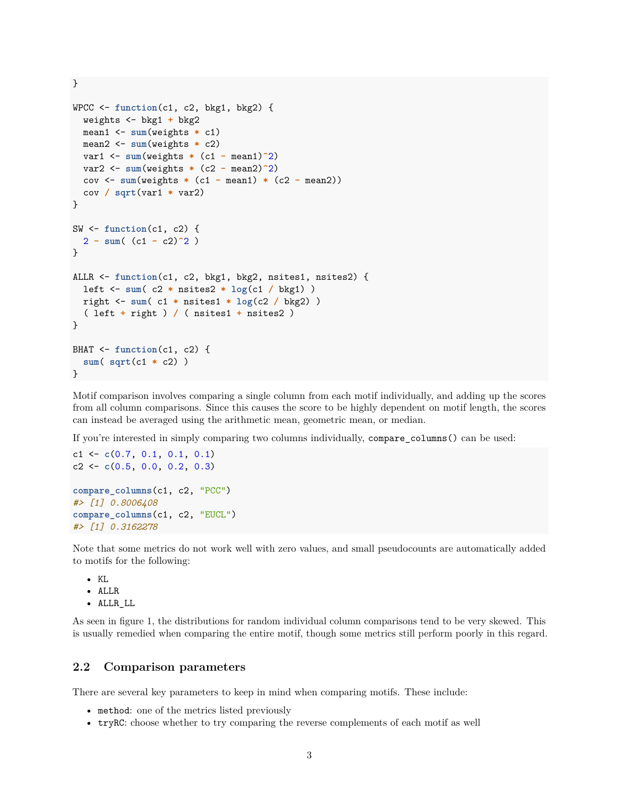WPCC <- **function**(c1, c2, bkg1, bkg2) { weights <- bkg1 **+** bkg2 mean1 <- **sum**(weights **\*** c1) mean2 <- **sum**(weights **\*** c2) var1 <- **sum**(weights **\*** (c1 **-** mean1)**^**2) var2 <- **sum**(weights **\*** (c2 **-** mean2)**^**2) cov <- **sum**(weights **\*** (c1 **-** mean1) **\*** (c2 **-** mean2)) cov **/ sqrt**(var1 **\*** var2) } SW <- **function**(c1, c2) { 2 **- sum**( (c1 **-** c2)**^**2 ) } ALLR <- **function**(c1, c2, bkg1, bkg2, nsites1, nsites2) { left <- **sum**( c2 **\*** nsites2 **\* log**(c1 **/** bkg1) ) right <- **sum**( c1 **\*** nsites1 **\* log**(c2 **/** bkg2) ) ( left **+** right ) **/** ( nsites1 **+** nsites2 ) } BHAT <- **function**(c1, c2) { **sum**( **sqrt**(c1 **\*** c2) ) }

Motif comparison involves comparing a single column from each motif individually, and adding up the scores from all column comparisons. Since this causes the score to be highly dependent on motif length, the scores can instead be averaged using the arithmetic mean, geometric mean, or median.

If you're interested in simply comparing two columns individually, compare\_columns() can be used:

```
c1 <- c(0.7, 0.1, 0.1, 0.1)
c2 <- c(0.5, 0.0, 0.2, 0.3)
compare_columns(c1, c2, "PCC")
#> [1] 0.8006408
compare_columns(c1, c2, "EUCL")
#> [1] 0.3162278
```
Note that some metrics do not work well with zero values, and small pseudocounts are automatically added to motifs for the following:

• KL

}

• ALLR

• ALLR\_LL

As seen in figure [1,](#page-3-0) the distributions for random individual column comparisons tend to be very skewed. This is usually remedied when comparing the entire motif, though some metrics still perform poorly in this regard.

#### <span id="page-2-0"></span>**2.2 Comparison parameters**

There are several key parameters to keep in mind when comparing motifs. These include:

- method: one of the metrics listed previously
- tryRC: choose whether to try comparing the reverse complements of each motif as well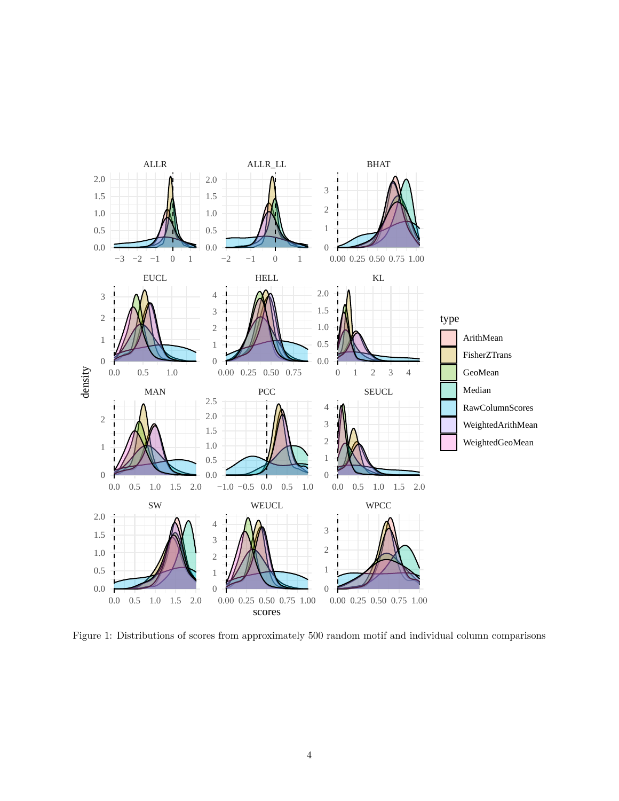

<span id="page-3-0"></span>Figure 1: Distributions of scores from approximately 500 random motif and individual column comparisons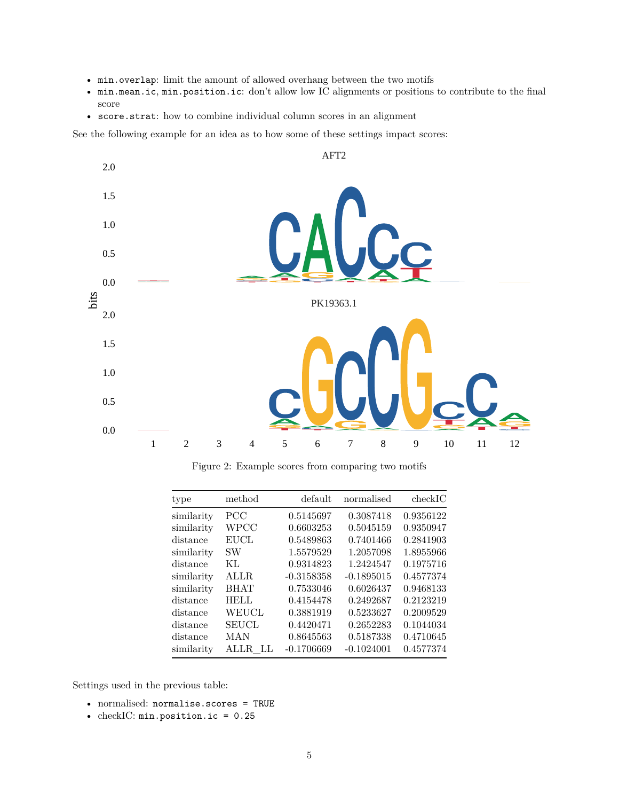- min.overlap: limit the amount of allowed overhang between the two motifs
- min.mean.ic, min.position.ic: don't allow low IC alignments or positions to contribute to the final score
- score.strat: how to combine individual column scores in an alignment

See the following example for an idea as to how some of these settings impact scores:



Figure 2: Example scores from comparing two motifs

| type       | method       | default      | normalised   | checkIC   |
|------------|--------------|--------------|--------------|-----------|
| similarity | PCC          | 0.5145697    | 0.3087418    | 0.9356122 |
| similarity | <b>WPCC</b>  | 0.6603253    | 0.5045159    | 0.9350947 |
| distance   | <b>EUCL</b>  | 0.5489863    | 0.7401466    | 0.2841903 |
| similarity | SW           | 1.5579529    | 1.2057098    | 1.8955966 |
| distance   | KL           | 0.9314823    | 1.2424547    | 0.1975716 |
| similarity | ALLR.        | $-0.3158358$ | $-0.1895015$ | 0.4577374 |
| similarity | <b>BHAT</b>  | 0.7533046    | 0.6026437    | 0.9468133 |
| distance   | <b>HELL</b>  | 0.4154478    | 0.2492687    | 0.2123219 |
| distance   | <b>WEUCL</b> | 0.3881919    | 0.5233627    | 0.2009529 |
| distance   | <b>SEUCL</b> | 0.4420471    | 0.2652283    | 0.1044034 |
| distance   | MAN          | 0.8645563    | 0.5187338    | 0.4710645 |
| similarity | ALLR.<br>T.L | $-0.1706669$ | $-0.1024001$ | 0.4577374 |

Settings used in the previous table:

- normalised: normalise.scores = TRUE
- checkIC: min.position.ic = 0.25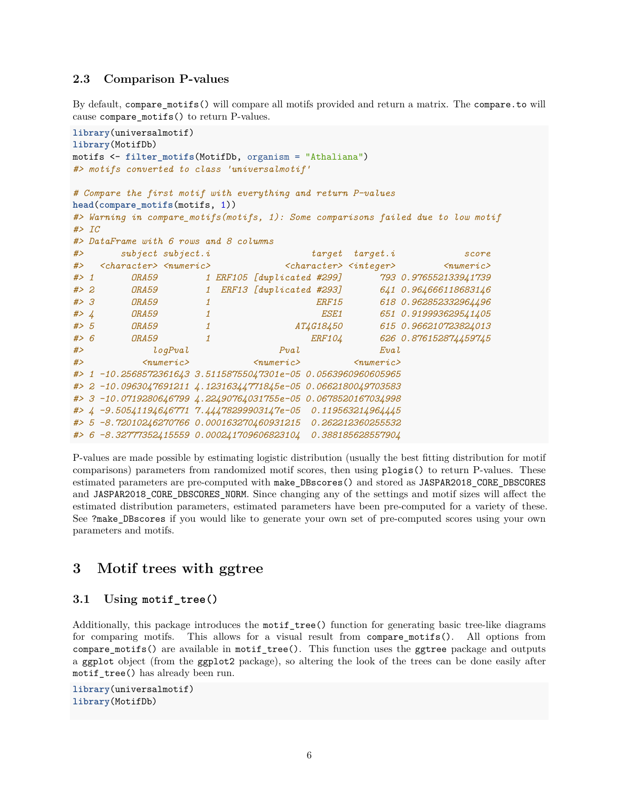#### <span id="page-5-0"></span>**2.3 Comparison P-values**

By default, compare\_motifs() will compare all motifs provided and return a matrix. The compare.to will cause compare\_motifs() to return P-values.

```
library(universalmotif)
library(MotifDb)
motifs <- filter_motifs(MotifDb, organism = "Athaliana")
#> motifs converted to class 'universalmotif'
# Compare the first motif with everything and return P-values
head(compare_motifs(motifs, 1))
#> Warning in compare_motifs(motifs, 1): Some comparisons failed due to low motif
#> IC
#> DataFrame with 6 rows and 8 columns
#> subject subject.i target target.i score
#> <character> <numeric> <character> <integer> <numeric>
#> 1 ORA59 1 ERF105 [duplicated #299] 793 0.976552133941739
#> 2 ORA59 1 ERF13 [duplicated #293] 641 0.964666118683146
#> 3 ORA59 1 ERF15 618 0.962852332964496
#> 4 ORA59 1 ESE1 651 0.919993629541405
#> 5 ORA59 1 AT4G18450 615 0.966210723824013
#> 6 ORA59 1 ERF104 626 0.876152874459745
#> logPval Pval Eval
#> <numeric> <numeric> <numeric>
#> 1 -10.2568572361643 3.51158755047301e-05 0.0563960960605965
#> 2 -10.0963047691211 4.12316344771845e-05 0.0662180049703583
#> 3 -10.0719280646799 4.22490764031755e-05 0.0678520167034998
#> 4 -9.50541194646771 7.44478299903147e-05 0.119563214964445
#> 5 -8.72010246270766 0.000163270460931215 0.262212360255532
#> 6 -8.32777352415559 0.000241709606823104 0.388185628557904
```
P-values are made possible by estimating logistic distribution (usually the best fitting distribution for motif comparisons) parameters from randomized motif scores, then using plogis() to return P-values. These estimated parameters are pre-computed with make\_DBscores() and stored as JASPAR2018\_CORE\_DBSCORES and JASPAR2018\_CORE\_DBSCORES\_NORM. Since changing any of the settings and motif sizes will affect the estimated distribution parameters, estimated parameters have been pre-computed for a variety of these. See ?make\_DBscores if you would like to generate your own set of pre-computed scores using your own parameters and motifs.

### <span id="page-5-1"></span>**3 Motif trees with ggtree**

#### <span id="page-5-2"></span>**3.1 Using motif\_tree()**

Additionally, this package introduces the motif\_tree() function for generating basic tree-like diagrams for comparing motifs. This allows for a visual result from compare\_motifs(). All options from compare\_motifs() are available in motif\_tree(). This function uses the ggtree package and outputs a ggplot object (from the ggplot2 package), so altering the look of the trees can be done easily after motif\_tree() has already been run.

```
library(universalmotif)
library(MotifDb)
```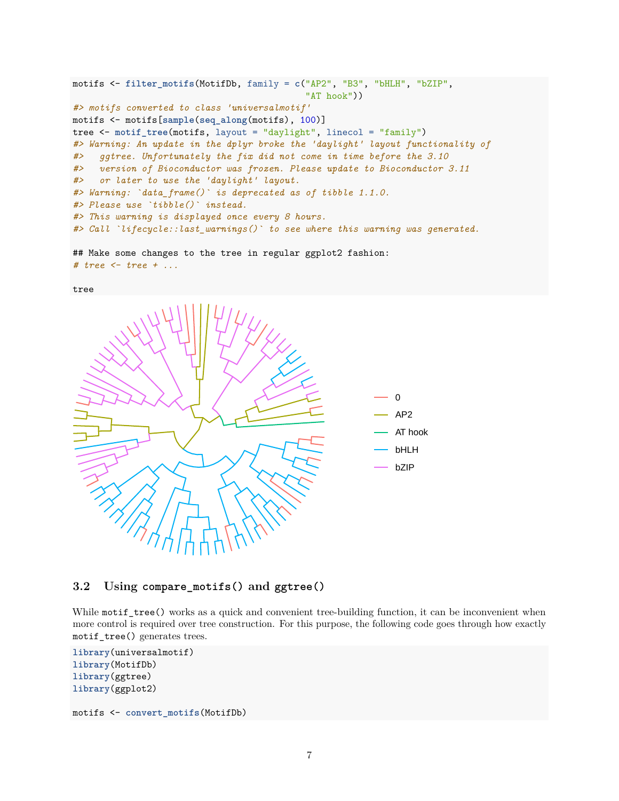```
motifs <- filter_motifs(MotifDb, family = c("AP2", "B3", "bHLH", "bZIP",
                                            "AT hook"))
#> motifs converted to class 'universalmotif'
motifs <- motifs[sample(seq_along(motifs), 100)]
tree <- motif_tree(motifs, layout = "daylight", linecol = "family")
#> Warning: An update in the dplyr broke the 'daylight' layout functionality of
#> ggtree. Unfortunately the fix did not come in time before the 3.10
#> version of Bioconductor was frozen. Please update to Bioconductor 3.11
#> or later to use the 'daylight' layout.
#> Warning: `data_frame()` is deprecated as of tibble 1.1.0.
#> Please use `tibble()` instead.
#> This warning is displayed once every 8 hours.
#> Call `lifecycle::last_warnings()` to see where this warning was generated.
```

```
## Make some changes to the tree in regular ggplot2 fashion:
# tree <- tree + ...
```




#### <span id="page-6-0"></span>**3.2 Using compare\_motifs() and ggtree()**

While motif\_tree() works as a quick and convenient tree-building function, it can be inconvenient when more control is required over tree construction. For this purpose, the following code goes through how exactly motif\_tree() generates trees.

```
library(universalmotif)
library(MotifDb)
library(ggtree)
library(ggplot2)
```

```
motifs <- convert_motifs(MotifDb)
```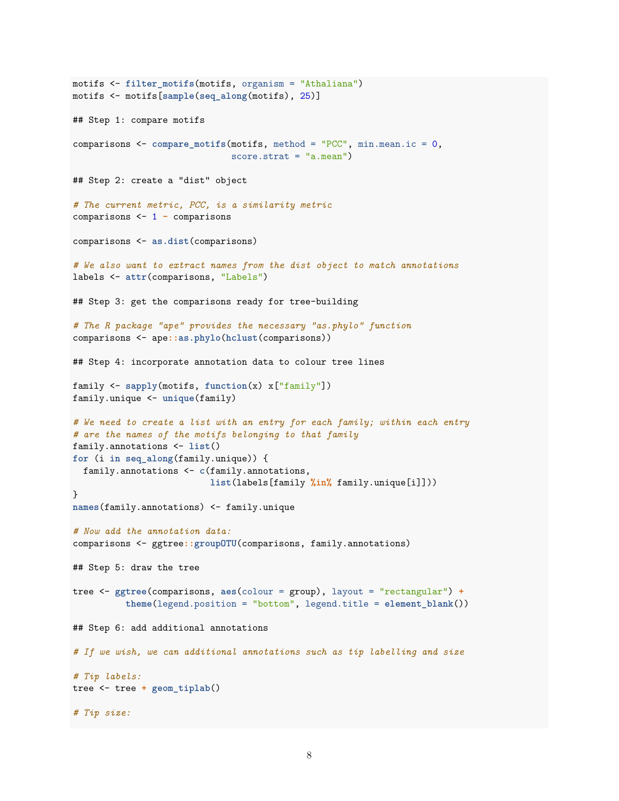```
motifs <- filter_motifs(motifs, organism = "Athaliana")
motifs <- motifs[sample(seq_along(motifs), 25)]
## Step 1: compare motifs
comparisons <- compare_motifs(motifs, method = "PCC", min.mean.ic = 0,
                              score.strat = "a.mean")
## Step 2: create a "dist" object
# The current metric, PCC, is a similarity metric
comparisons <- 1 - comparisons
comparisons <- as.dist(comparisons)
# We also want to extract names from the dist object to match annotations
labels <- attr(comparisons, "Labels")
## Step 3: get the comparisons ready for tree-building
# The R package "ape" provides the necessary "as.phylo" function
comparisons <- ape::as.phylo(hclust(comparisons))
## Step 4: incorporate annotation data to colour tree lines
family <- sapply(motifs, function(x) x["family"])
family.unique <- unique(family)
# We need to create a list with an entry for each family; within each entry
# are the names of the motifs belonging to that family
family.annotations <- list()
for (i in seq_along(family.unique)) {
 family.annotations <- c(family.annotations,
                          list(labels[family %in% family.unique[i]]))
}
names(family.annotations) <- family.unique
# Now add the annotation data:
comparisons <- ggtree::groupOTU(comparisons, family.annotations)
## Step 5: draw the tree
tree <- ggtree(comparisons, aes(colour = group), layout = "rectangular") +
          theme(legend.position = "bottom", legend.title = element_blank())
## Step 6: add additional annotations
# If we wish, we can additional annotations such as tip labelling and size
# Tip labels:
tree <- tree + geom_tiplab()
# Tip size:
```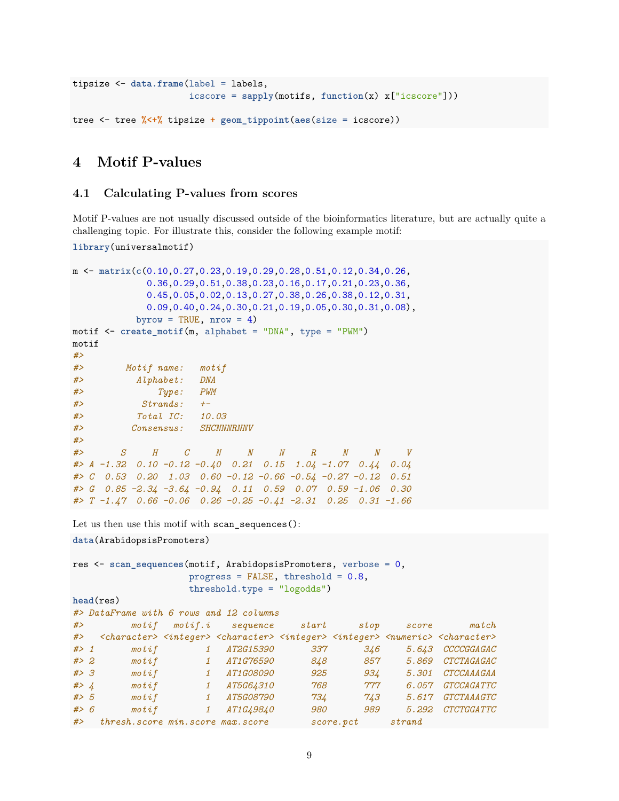```
tipsize <- data.frame(label = labels,
                      icscore = sapply(motifs, function(x) x["icscore"]))
tree <- tree %<+% tipsize + geom_tippoint(aes(size = icscore))
```
# <span id="page-8-0"></span>**4 Motif P-values**

#### <span id="page-8-1"></span>**4.1 Calculating P-values from scores**

Motif P-values are not usually discussed outside of the bioinformatics literature, but are actually quite a challenging topic. For illustrate this, consider the following example motif:

```
library(universalmotif)
```

```
m <- matrix(c(0.10,0.27,0.23,0.19,0.29,0.28,0.51,0.12,0.34,0.26,
            0.36,0.29,0.51,0.38,0.23,0.16,0.17,0.21,0.23,0.36,
            0.45,0.05,0.02,0.13,0.27,0.38,0.26,0.38,0.12,0.31,
            0.09,0.40,0.24,0.30,0.21,0.19,0.05,0.30,0.31,0.08),
          byrow = TRUE, nrow = 4)
motif <- create_motif(m, alphabet = "DNA", type = "PWM")
motif
#>
#> Motif name: motif
#> Alphabet: DNA
#> Type: PWM
#> Strands: +-
#> Total IC: 10.03
#> Consensus: SHCNNNRNNV
#>
#> S H C N N N R N N V
#> A -1.32 0.10 -0.12 -0.40 0.21 0.15 1.04 -1.07 0.44 0.04
#> C 0.53 0.20 1.03 0.60 -0.12 -0.66 -0.54 -0.27 -0.12 0.51
#> G 0.85 -2.34 -3.64 -0.94 0.11 0.59 0.07 0.59 -1.06 0.30
#> T -1.47 0.66 -0.06 0.26 -0.25 -0.41 -2.31 0.25 0.31 -1.66
Let us then use this motif with scan_sequences():
data(ArabidopsisPromoters)
res <- scan_sequences(motif, ArabidopsisPromoters, verbose = 0,
                   progress = FALSE, threshold = 0.8,
```
threshold.type = "logodds")

```
head(res)
```

| #> DataFrame with 6 rows and 12 columns |  |  |  |  |
|-----------------------------------------|--|--|--|--|

| #     | motif                                                                                                                                                   |              | motif.i sequence start |     | stop       | score  | match                    |
|-------|---------------------------------------------------------------------------------------------------------------------------------------------------------|--------------|------------------------|-----|------------|--------|--------------------------|
| #     | <character> <integer> <character> <integer> <integer> <numeric> <character></character></numeric></integer></integer></character></integer></character> |              |                        |     |            |        |                          |
| # > 1 | $\mathit{motif}$                                                                                                                                        |              | AT2G15390              | 337 | 346        |        | 5.643 CCCCGGAGAC         |
| # > 2 | $\mathit{motif}$                                                                                                                                        |              | <i>AT1G76590</i>       | 848 | 857        | 5.869  | CTCTAGAGAC               |
| # > 3 | $\mathit{motif}$                                                                                                                                        |              | <i>AT1G08090</i>       | 925 | 934        | 5.301  | CTCCAAAGAA               |
| # > 4 | $\mathit{motif}$                                                                                                                                        |              | <i>AT5G64310</i>       | 768 | 777        | 6.057  | GTCCAGATTC               |
| # > 5 | $\mathit{motif}$                                                                                                                                        |              | <i>AT5G08790</i>       | 734 | 743        | 5.617  | <i><b>GTCTAAAGTC</b></i> |
| # > 6 | $\mathit{motif}$                                                                                                                                        | $\mathbf{1}$ | <i>AT1G49840</i>       | 980 | 989        | 5.292  | CTCTGGATTC               |
| #     | thresh. score min. score max. score                                                                                                                     |              |                        |     | score, pct | strand |                          |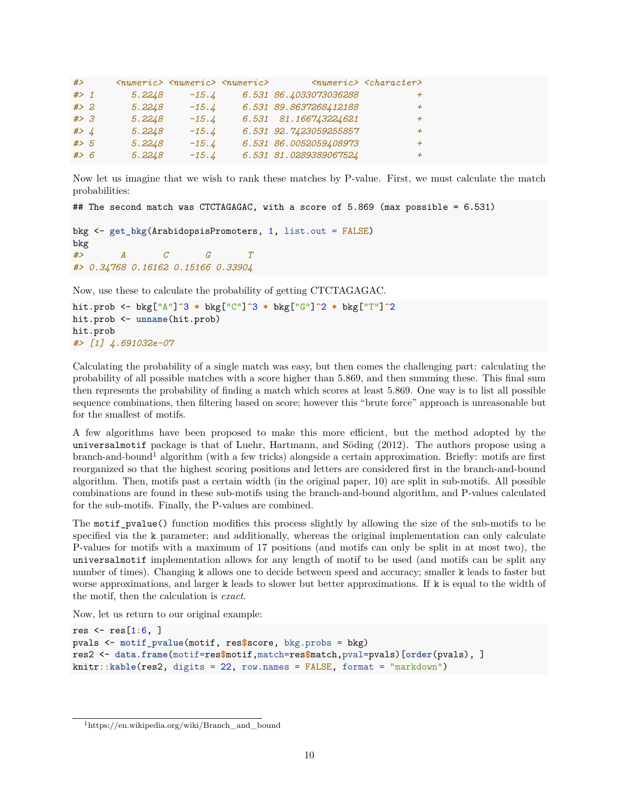| #             |        | $\langle numeric\rangle$ $\langle numeric\rangle$ $\langle numeric\rangle$ |                        | $\langle$ numeric> $\langle$ character> |  |
|---------------|--------|----------------------------------------------------------------------------|------------------------|-----------------------------------------|--|
| $#$ > 1       | 5.2248 | $-15.4$                                                                    | 6.531 86.4033073036288 | $^+$                                    |  |
| # > 2         | 5.2248 | $-15.4$                                                                    | 6.531 89.8637268412188 | $\overline{+}$                          |  |
| # > 3         | 5.2248 | $-15.4$                                                                    | 6.531 81.166743224621  | $\overline{+}$                          |  |
| #> $\sqrt{4}$ | 5.2248 | $-15.4$                                                                    | 6.531 92.7423059255857 | $\overline{+}$                          |  |
| # > 5         | 5.2248 | $-15.4$                                                                    | 6.531 86.0052059408973 |                                         |  |
| # > 6         | 5.2248 | $-15.4$                                                                    | 6.531 81.0289389067524 | $\boldsymbol{+}$                        |  |

Now let us imagine that we wish to rank these matches by P-value. First, we must calculate the match probabilities:

```
## The second match was CTCTAGAGAC, with a score of 5.869 (max possible = 6.531)
```

```
bkg <- get_bkg(ArabidopsisPromoters, 1, list.out = FALSE)
bkg
#> A C G T
#> 0.34768 0.16162 0.15166 0.33904
```
Now, use these to calculate the probability of getting CTCTAGAGAC.

```
hit.prob <- bkg["A"]^3 * bkg["C"]^3 * bkg["G"]^2 * bkg["T"]^2
hit.prob <- unname(hit.prob)
hit.prob
#> [1] 4.691032e-07
```
Calculating the probability of a single match was easy, but then comes the challenging part: calculating the probability of all possible matches with a score higher than 5.869, and then summing these. This final sum then represents the probability of finding a match which scores at least 5.869. One way is to list all possible sequence combinations, then filtering based on score; however this "brute force" approach is unreasonable but for the smallest of motifs.

A few algorithms have been proposed to make this more efficient, but the method adopted by the universalmotif package is that of Luehr, Hartmann, and Söding (2012). The authors propose using a branch-and-bound[1](#page-9-0) algorithm (with a few tricks) alongside a certain approximation. Briefly: motifs are first reorganized so that the highest scoring positions and letters are considered first in the branch-and-bound algorithm. Then, motifs past a certain width (in the original paper, 10) are split in sub-motifs. All possible combinations are found in these sub-motifs using the branch-and-bound algorithm, and P-values calculated for the sub-motifs. Finally, the P-values are combined.

The motif\_pvalue() function modifies this process slightly by allowing the size of the sub-motifs to be specified via the k parameter; and additionally, whereas the original implementation can only calculate P-values for motifs with a maximum of 17 positions (and motifs can only be split in at most two), the universalmotif implementation allows for any length of motif to be used (and motifs can be split any number of times). Changing k allows one to decide between speed and accuracy; smaller k leads to faster but worse approximations, and larger k leads to slower but better approximations. If k is equal to the width of the motif, then the calculation is *exact*.

Now, let us return to our original example:

```
res <- res[1:6, ]
pvals <- motif_pvalue(motif, res$score, bkg.probs = bkg)
res2 <- data.frame(motif=res$motif,match=res$match,pval=pvals)[order(pvals), ]
knitr::kable(res2, digits = 22, row.names = FALSE, format = "markdown")
```
<span id="page-9-0"></span> $1$ [https://en.wikipedia.org/wiki/Branch\\_and\\_bound](https://en.wikipedia.org/wiki/Branch_and_bound)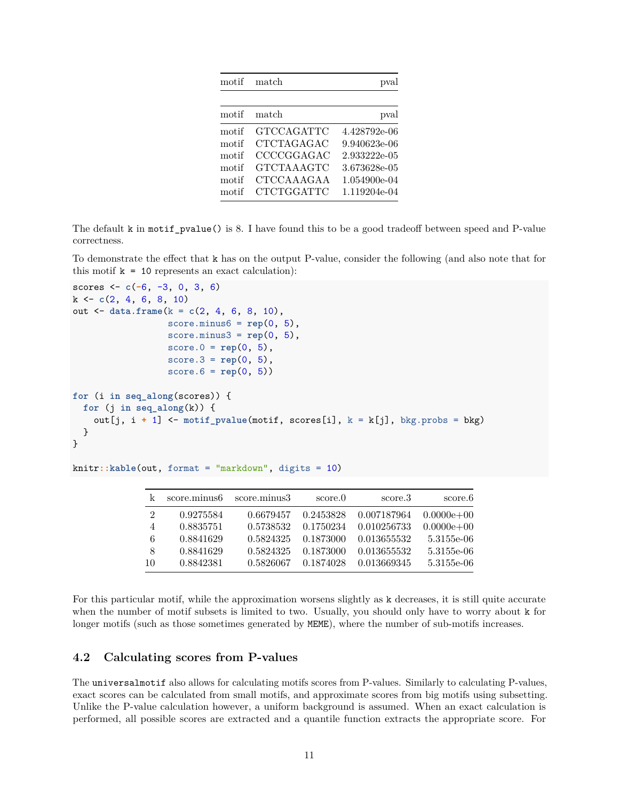| motif | match             | pval         |
|-------|-------------------|--------------|
|       |                   |              |
| motif | match             | pval         |
| motif | GTCCAGATTC        | 4.428792e-06 |
| motif | <b>CTCTAGAGAC</b> | 9.940623e-06 |
| motif | CCCCGGAGAC        | 2.933222e-05 |
| motif | <b>GTCTAAAGTC</b> | 3.673628e-05 |
| motif | CTCCAAAGAA        | 1.054900e-04 |
| motif | <b>CTCTGGATTC</b> | 1.119204e-04 |

The default k in motif\_pvalue() is 8. I have found this to be a good tradeoff between speed and P-value correctness.

To demonstrate the effect that k has on the output P-value, consider the following (and also note that for this motif  $k = 10$  represents an exact calculation):

```
scores <- c(-6, -3, 0, 3, 6)
k <- c(2, 4, 6, 8, 10)
out <- data.frame(k = c(2, 4, 6, 8, 10),
                  score.minus6 = rep(0, 5),score.minus3 = rep(0, 5),score.0 = rep(0, 5),score.3 = rep(0, 5),
                  score.6 = rep(0, 5))
for (i in seq_along(scores)) {
  for (j in seq\_along(k)) {
    out[j, i + 1] <- motif_pvalue(motif, scores[i], k = k[j], bkg.probs = bkg)
  }
}
```
knitr**::kable**(out, format = "markdown", digits = 10)

|                | score.minus6 | score.minus3 | score.0   | score.3     | score.6        |
|----------------|--------------|--------------|-----------|-------------|----------------|
| $\mathfrak{D}$ | 0.9275584    | 0.6679457    | 0.2453828 | 0.007187964 | $0.0000e + 00$ |
| 4              | 0.8835751    | 0.5738532    | 0.1750234 | 0.010256733 | $0.0000e + 00$ |
| 6              | 0.8841629    | 0.5824325    | 0.1873000 | 0.013655532 | 5.3155e-06     |
| 8              | 0.8841629    | 0.5824325    | 0.1873000 | 0.013655532 | 5.3155e-06     |
| -10            | 0.8842381    | 0.5826067    | 0.1874028 | 0.013669345 | 5.3155e-06     |

For this particular motif, while the approximation worsens slightly as k decreases, it is still quite accurate when the number of motif subsets is limited to two. Usually, you should only have to worry about k for longer motifs (such as those sometimes generated by MEME), where the number of sub-motifs increases.

#### <span id="page-10-0"></span>**4.2 Calculating scores from P-values**

The universalmotif also allows for calculating motifs scores from P-values. Similarly to calculating P-values, exact scores can be calculated from small motifs, and approximate scores from big motifs using subsetting. Unlike the P-value calculation however, a uniform background is assumed. When an exact calculation is performed, all possible scores are extracted and a quantile function extracts the appropriate score. For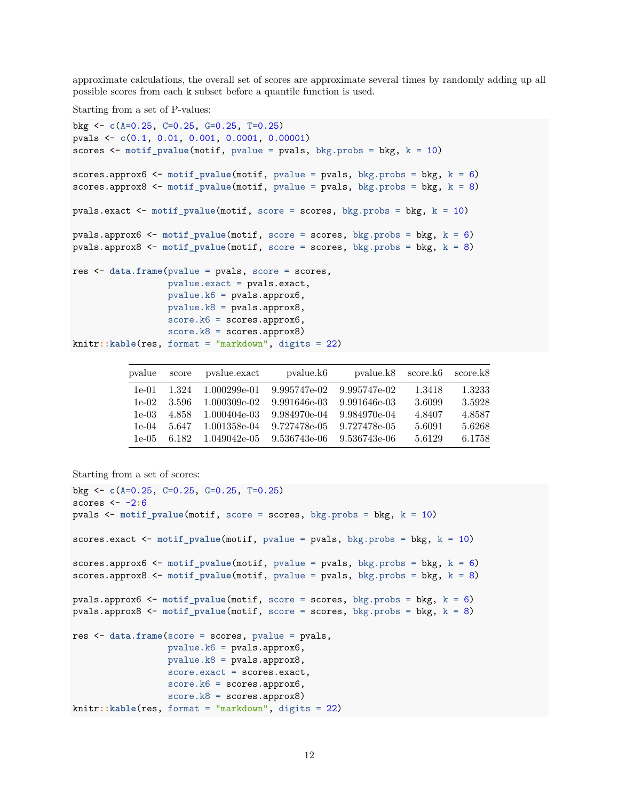approximate calculations, the overall set of scores are approximate several times by randomly adding up all possible scores from each k subset before a quantile function is used.

Starting from a set of P-values:

```
bkg <- c(A=0.25, C=0.25, G=0.25, T=0.25)
pvals <- c(0.1, 0.01, 0.001, 0.0001, 0.00001)
scores <- motif_pvalue(motif, pvalue = pvals, bkg.probs = bkg, k = 10)
scores.approx6 <- motif_pvalue(motif, pvalue = pvals, bkg.probs = bkg, k = 6)
scores.approx8 <- motif_pvalue(motif, pvalue = pvals, bkg.probs = bkg, k = 8)
pvals.exact <- motif_pvalue(motif, score = scores, bkg.probs = bkg, k = 10)
pvals.approx6 <- motif_pvalue(motif, score = scores, bkg.probs = bkg, k = 6)
pvals.approx8 <- motif_pvalue(motif, score = scores, bkg.probs = bkg, k = 8)
res <- data.frame(pvalue = pvals, score = scores,
                 pvalue.exact = pvals.exact,
                 pvalue.k6 = pvals.approx6,
                 pvalue.k8 = pvals.approx8,
                  score.k6 = scores.append,score.k8 = scores.append(x8)knitr::kable(res, format = "markdown", digits = 22)
```

| pvalue  | score | pvalue.exact | pvalue.k <sub>6</sub> | pvalue.k8    | score.k6 | score.k8 |
|---------|-------|--------------|-----------------------|--------------|----------|----------|
| $1e-01$ | 1.324 | 1.000299e-01 | 9.995747e-02          | 9.995747e-02 | 1.3418   | 1.3233   |
| $1e-02$ | 3.596 | 1.000309e-02 | 9.991646e-03          | 9.991646e-03 | 3.6099   | 3.5928   |
| $1e-03$ | 4.858 | 1.000404e-03 | 9.984970e-04          | 9.984970e-04 | 4.8407   | 4.8587   |
| $1e-04$ | 5.647 | 1.001358e-04 | 9.727478e-05          | 9.727478e-05 | 5.6091   | 5.6268   |
| $1e-05$ | 6.182 | 1.049042e-05 | 9.536743e-06          | 9.536743e-06 | 5.6129   | 6.1758   |

```
Starting from a set of scores:
```

```
bkg <- c(A=0.25, C=0.25, G=0.25, T=0.25)
scores <- -2:6
pvals <- motif_pvalue(motif, score = scores, bkg.probs = bkg, k = 10)
scores.exact <- motif_pvalue(motif, pvalue = pvals, bkg.probs = bkg, k = 10)
scores.approx6 <- motif_pvalue(motif, pvalue = pvals, bkg.probs = bkg, k = 6)
scores.approx8 <- motif_pvalue(motif, pvalue = pvals, bkg.probs = bkg, k = 8)
pvals.approx6 <- motif_pvalue(motif, score = scores, bkg.probs = bkg, k = 6)
pvals.approx8 <- motif_pvalue(motif, score = scores, bkg.probs = bkg, k = 8)
res <- data.frame(score = scores, pvalue = pvals,
                  pvalue.k6 = pvals.approx6,
                  pvalue.k8 = pvals.approx8,
                  score.exact = scores.exact,
                  score.k6 = scores.approx6,
                  score.k8 = scores.append(b)knitr::kable(res, format = "markdown", digits = 22)
```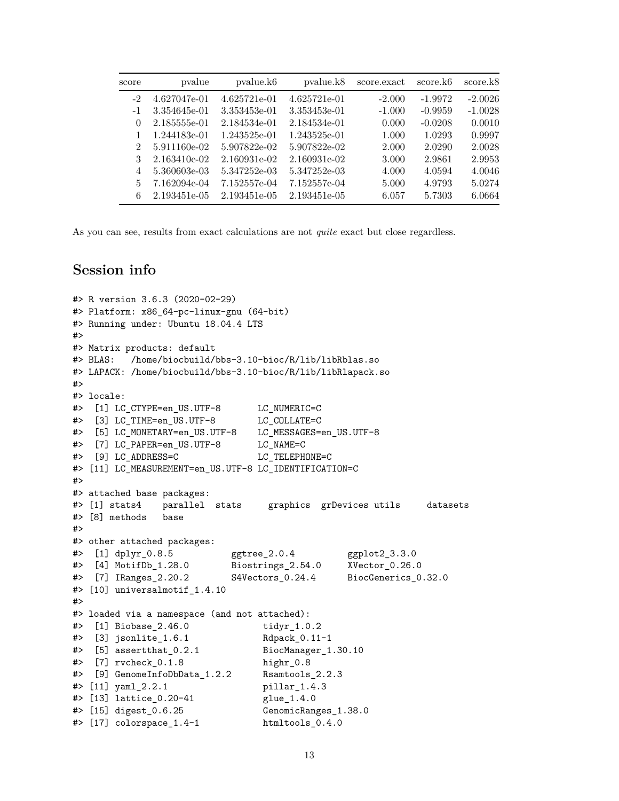| score                       | pvalue       | pvalue.k <sub>6</sub> | pvalue.k8    | score.exact | score.k <sub>6</sub> | score.k8  |
|-----------------------------|--------------|-----------------------|--------------|-------------|----------------------|-----------|
| $-2$                        | 4.627047e-01 | 4.625721e-01          | 4.625721e-01 | $-2.000$    | $-1.9972$            | $-2.0026$ |
| $-1$                        | 3.354645e-01 | 3.353453e-01          | 3.353453e-01 | $-1.000$    | $-0.9959$            | $-1.0028$ |
| $\theta$                    | 2.185555e-01 | 2.184534e-01          | 2.184534e-01 | 0.000       | $-0.0208$            | 0.0010    |
| 1                           | 1.244183e-01 | 1.243525e-01          | 1.243525e-01 | 1.000       | 1.0293               | 0.9997    |
| $\mathcal{D}_{\mathcal{L}}$ | 5.911160e-02 | 5.907822e-02          | 5.907822e-02 | 2.000       | 2.0290               | 2.0028    |
| 3                           | 2.163410e-02 | 2.160931e-02          | 2.160931e-02 | 3.000       | 2.9861               | 2.9953    |
| 4                           | 5.360603e-03 | 5.347252e-03          | 5.347252e-03 | 4.000       | 4.0594               | 4.0046    |
| 5                           | 7.162094e-04 | 7.152557e-04          | 7.152557e-04 | 5.000       | 4.9793               | 5.0274    |
| 6                           | 2.193451e-05 | 2.193451e-05          | 2.193451e-05 | 6.057       | 5.7303               | 6.0664    |

As you can see, results from exact calculations are not *quite* exact but close regardless.

# <span id="page-12-0"></span>**Session info**

```
#> R version 3.6.3 (2020-02-29)
#> Platform: x86_64-pc-linux-gnu (64-bit)
#> Running under: Ubuntu 18.04.4 LTS
#>
#> Matrix products: default
#> BLAS: /home/biocbuild/bbs-3.10-bioc/R/lib/libRblas.so
#> LAPACK: /home/biocbuild/bbs-3.10-bioc/R/lib/libRlapack.so
#>
#> locale:
#> [1] LC CTYPE=en US.UTF-8 LC NUMERIC=C
#> [3] LC_TIME=en_US.UTF-8 LC_COLLATE=C
#> [5] LC_MONETARY=en_US.UTF-8 LC_MESSAGES=en_US.UTF-8
#> [7] LC_PAPER=en_US.UTF-8 LC_NAME=C
#> [9] LC ADDRESS=C LC TELEPHONE=C
#> [11] LC_MEASUREMENT=en_US.UTF-8 LC_IDENTIFICATION=C
#>
#> attached base packages:
#> [1] stats4 parallel stats graphics grDevices utils datasets
#> [8] methods base
#>
#> other attached packages:
#> [1] dplyr_0.8.5 ggtree_2.0.4 ggplot2_3.3.0
#> [4] MotifDb_1.28.0 Biostrings_2.54.0 XVector_0.26.0
#> [7] IRanges_2.20.2 S4Vectors_0.24.4 BiocGenerics_0.32.0
#> [10] universalmotif_1.4.10
#>
#> loaded via a namespace (and not attached):
#> [1] Biobase_2.46.0 tidyr_1.0.2
#> [3] jsonlite_1.6.1 Rdpack_0.11-1
#> [5] assertthat_0.2.1 BiocManager_1.30.10
#> [7] rvcheck_0.1.8 highr_0.8
#> [9] GenomeInfoDbData_1.2.2 Rsamtools_2.2.3
#> [11] yaml_2.2.1 pillar_1.4.3
#> [13] lattice_0.20-41 glue_1.4.0
#> [15] digest_0.6.25 GenomicRanges_1.38.0
#> [17] colorspace_1.4-1 htmltools_0.4.0
```